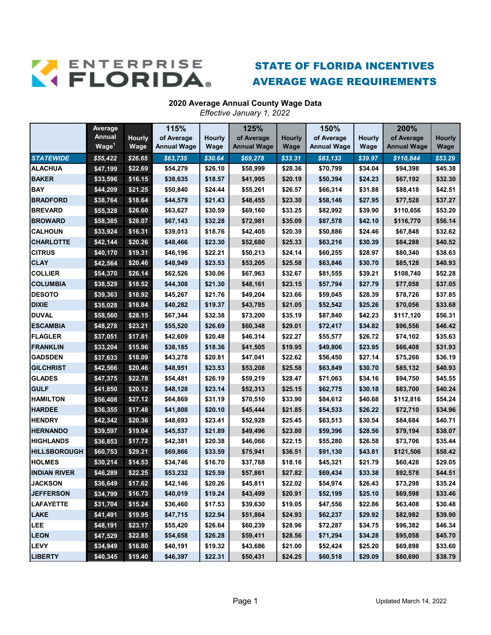

## STATE OF FLORIDA INCENTIVES AVERAGE WAGE REQUIREMENTS

## **2020 Average Annual County Wage Data**

*Effective January 1, 2022*

|                     | Average           |               | 115%               |               | 125%               |         | 150%               |               | 200%               |               |
|---------------------|-------------------|---------------|--------------------|---------------|--------------------|---------|--------------------|---------------|--------------------|---------------|
|                     | <b>Annual</b>     | <b>Hourly</b> | of Average         | <b>Hourly</b> | of Average         | Hourly  | of Average         | <b>Hourly</b> | of Average         | <b>Hourly</b> |
|                     | Wage <sup>1</sup> | Wage          | <b>Annual Wage</b> | Wage          | <b>Annual Wage</b> | Wage    | <b>Annual Wage</b> | Wage          | <b>Annual Wage</b> | Wage          |
| <b>STATEWIDE</b>    | \$55,422          | \$26.65       | \$63,735           | \$30.64       | \$69,278           | \$33.31 | \$83,133           | \$39.97       | \$110,844          | \$53.29       |
| <b>ALACHUA</b>      | \$47,199          | \$22.69       | \$54,279           | \$26.10       | \$58,999           | \$28.36 | \$70,799           | \$34.04       | \$94,398           | \$45.38       |
| <b>BAKER</b>        | \$33,596          | \$16.15       | \$38,635           | \$18.57       | \$41,995           | \$20.19 | \$50,394           | \$24.23       | \$67,192           | \$32.30       |
| <b>BAY</b>          | \$44,209          | \$21.25       | \$50,840           | \$24.44       | \$55,261           | \$26.57 | \$66,314           | \$31.88       | \$88,418           | \$42.51       |
| <b>BRADFORD</b>     | \$38,764          | \$18.64       | \$44,579           | \$21.43       | \$48,455           | \$23.30 | \$58,146           | \$27.95       | \$77,528           | \$37.27       |
| <b>BREVARD</b>      | \$55,328          | \$26.60       | \$63,627           | \$30.59       | \$69,160           | \$33.25 | \$82,992           | \$39.90       | \$110,656          | \$53.20       |
| <b>BROWARD</b>      | \$58,385          | \$28.07       | \$67,143           | \$32.28       | \$72,981           | \$35.09 | \$87,578           | \$42.10       | \$116,770          | \$56.14       |
| <b>CALHOUN</b>      | \$33,924          | \$16.31       | \$39,013           | \$18.76       | \$42,405           | \$20.39 | \$50,886           | \$24.46       | \$67,848           | \$32.62       |
| <b>CHARLOTTE</b>    | \$42,144          | \$20.26       | \$48,466           | \$23.30       | \$52,680           | \$25.33 | \$63,216           | \$30.39       | \$84,288           | \$40.52       |
| <b>CITRUS</b>       | \$40,170          | \$19.31       | \$46,196           | \$22.21       | \$50,213           | \$24.14 | \$60,255           | \$28.97       | \$80,340           | \$38.63       |
| <b>CLAY</b>         | \$42,564          | \$20.46       | \$48,949           | \$23.53       | \$53,205           | \$25.58 | \$63,846           | \$30.70       | \$85,128           | \$40.93       |
| <b>COLLIER</b>      | \$54,370          | \$26.14       | \$62,526           | \$30.06       | \$67,963           | \$32.67 | \$81,555           | \$39.21       | \$108,740          | \$52.28       |
| <b>COLUMBIA</b>     | \$38,529          | \$18.52       | \$44,308           | \$21.30       | \$48,161           | \$23.15 | \$57,794           | \$27.79       | \$77,058           | \$37.05       |
| <b>DESOTO</b>       | \$39,363          | \$18.92       | \$45,267           | \$21.76       | \$49,204           | \$23.66 | \$59,045           | \$28.39       | \$78,726           | \$37.85       |
| <b>DIXIE</b>        | \$35,028          | \$16.84       | \$40,282           | \$19.37       | \$43,785           | \$21.05 | \$52,542           | \$25.26       | \$70,056           | \$33.68       |
| <b>DUVAL</b>        | \$58,560          | \$28.15       | \$67,344           | \$32.38       | \$73,200           | \$35.19 | \$87,840           | \$42.23       | \$117,120          | \$56.31       |
| <b>ESCAMBIA</b>     | \$48,278          | \$23.21       | \$55,520           | \$26.69       | \$60,348           | \$29.01 | \$72,417           | \$34.82       | \$96,556           | \$46.42       |
| <b>FLAGLER</b>      | \$37,051          | \$17.81       | \$42,609           | \$20.48       | \$46,314           | \$22.27 | \$55,577           | \$26.72       | \$74,102           | \$35.63       |
| <b>FRANKLIN</b>     | \$33,204          | \$15.96       | \$38,185           | \$18.36       | \$41,505           | \$19.95 | \$49,806           | \$23.95       | \$66,408           | \$31.93       |
| <b>GADSDEN</b>      | \$37,633          | \$18.09       | \$43,278           | \$20.81       | \$47,041           | \$22.62 | \$56,450           | \$27.14       | \$75,266           | \$36.19       |
| <b>GILCHRIST</b>    | \$42,566          | \$20.46       | \$48,951           | \$23.53       | \$53,208           | \$25.58 | \$63,849           | \$30.70       | \$85,132           | \$40.93       |
| <b>GLADES</b>       | \$47,375          | \$22.78       | \$54,481           | \$26.19       | \$59,219           | \$28.47 | \$71,063           | \$34.16       | \$94,750           | \$45.55       |
| <b>GULF</b>         | \$41,850          | \$20.12       | \$48,128           | \$23.14       | \$52,313           | \$25.15 | \$62,775           | \$30.18       | \$83,700           | \$40.24       |
| <b>HAMILTON</b>     | \$56,408          | \$27.12       | \$64,869           | \$31.19       | \$70,510           | \$33.90 | \$84,612           | \$40.68       | \$112,816          | \$54.24       |
| <b>HARDEE</b>       | \$36,355          | \$17.48       | \$41,808           | \$20.10       | \$45,444           | \$21.85 | \$54,533           | \$26.22       | \$72,710           | \$34.96       |
| <b>HENDRY</b>       | \$42,342          | \$20.36       | \$48,693           | \$23.41       | \$52,928           | \$25.45 | \$63,513           | \$30.54       | \$84,684           | \$40.71       |
| <b>HERNANDO</b>     | \$39,597          | \$19.04       | \$45,537           | \$21.89       | \$49,496           | \$23.80 | \$59,396           | \$28.56       | \$79,194           | \$38.07       |
| <b>HIGHLANDS</b>    | \$36,853          | \$17.72       | \$42,381           | \$20.38       | \$46,066           | \$22.15 | \$55,280           | \$26.58       | \$73,706           | \$35.44       |
| <b>HILLSBOROUGH</b> | \$60,753          | \$29.21       | \$69,866           | \$33.59       | \$75,941           | \$36.51 | \$91,130           | \$43.81       | \$121,506          | \$58.42       |
| <b>HOLMES</b>       | \$30,214          | \$14.53       | \$34,746           | \$16.70       | \$37,768           | \$18.16 | \$45,321           | \$21.79       | \$60,428           | \$29.05       |
| <b>INDIAN RIVER</b> | \$46,289          | \$22.25       | \$53,232           | \$25.59       | \$57,861           | \$27.82 | \$69,434           | \$33.38       | \$92,578           | \$44.51       |
| <b>JACKSON</b>      | \$36,649          | \$17.62       | \$42,146           | \$20.26       | \$45,811           | \$22.02 | \$54,974           | \$26.43       | \$73,298           | \$35.24       |
| <b>JEFFERSON</b>    | \$34,799          | \$16.73       | \$40,019           | \$19.24       | \$43,499           | \$20.91 | \$52,199           | \$25.10       | \$69,598           | \$33.46       |
| <b>LAFAYETTE</b>    | \$31,704          | \$15.24       | \$36,460           | \$17.53       | \$39,630           | \$19.05 | \$47,556           | \$22.86       | \$63,408           | \$30.48       |
| <b>LAKE</b>         | \$41,491          | \$19.95       | \$47,715           | \$22.94       | \$51,864           | \$24.93 | \$62,237           | \$29.92       | \$82,982           | \$39.90       |
| LEE                 | \$48,191          | \$23.17       | \$55,420           | \$26.64       | \$60,239           | \$28.96 | \$72,287           | \$34.75       | \$96,382           | \$46.34       |
| <b>LEON</b>         | \$47,529          | \$22.85       | \$54,658           | \$26.28       | \$59,411           | \$28.56 | \$71,294           | \$34.28       | \$95,058           | \$45.70       |
| <b>LEVY</b>         | \$34,949          | \$16.80       | \$40,191           | \$19.32       | \$43,686           | \$21.00 | \$52,424           | \$25.20       | \$69,898           | \$33.60       |
| <b>LIBERTY</b>      | \$40,345          | \$19.40       | \$46,397           | \$22.31       | \$50,431           | \$24.25 | \$60,518           | \$29.09       | \$80,690           | \$38.79       |